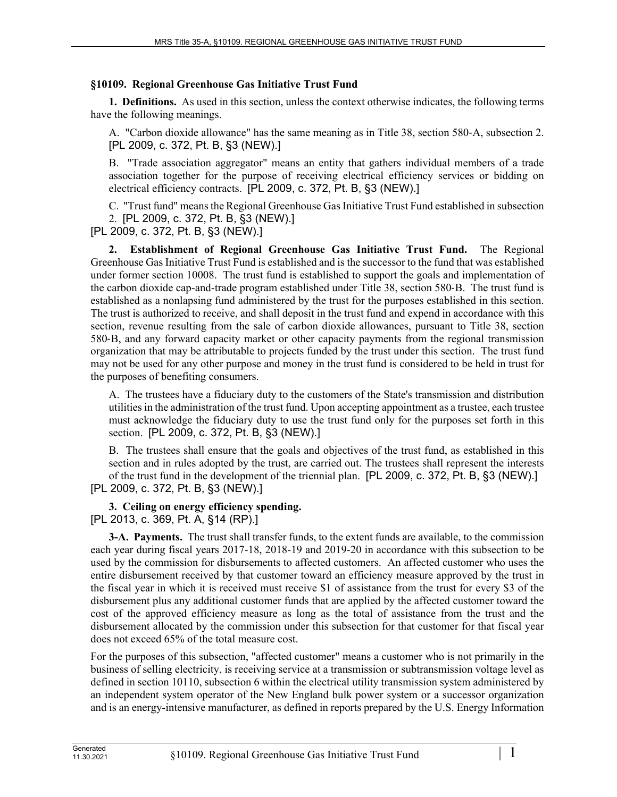## **§10109. Regional Greenhouse Gas Initiative Trust Fund**

**1. Definitions.** As used in this section, unless the context otherwise indicates, the following terms have the following meanings.

A. "Carbon dioxide allowance" has the same meaning as in Title 38, section 580‑A, subsection 2. [PL 2009, c. 372, Pt. B, §3 (NEW).]

B. "Trade association aggregator" means an entity that gathers individual members of a trade association together for the purpose of receiving electrical efficiency services or bidding on electrical efficiency contracts. [PL 2009, c. 372, Pt. B, §3 (NEW).]

C. "Trust fund" means the Regional Greenhouse Gas Initiative Trust Fund established in subsection 2. [PL 2009, c. 372, Pt. B, §3 (NEW).]

[PL 2009, c. 372, Pt. B, §3 (NEW).]

**2. Establishment of Regional Greenhouse Gas Initiative Trust Fund.** The Regional Greenhouse Gas Initiative Trust Fund is established and is the successor to the fund that was established under former section 10008. The trust fund is established to support the goals and implementation of the carbon dioxide cap-and-trade program established under Title 38, section 580‑B. The trust fund is established as a nonlapsing fund administered by the trust for the purposes established in this section. The trust is authorized to receive, and shall deposit in the trust fund and expend in accordance with this section, revenue resulting from the sale of carbon dioxide allowances, pursuant to Title 38, section 580‑B, and any forward capacity market or other capacity payments from the regional transmission organization that may be attributable to projects funded by the trust under this section. The trust fund may not be used for any other purpose and money in the trust fund is considered to be held in trust for the purposes of benefiting consumers.

A. The trustees have a fiduciary duty to the customers of the State's transmission and distribution utilities in the administration of the trust fund. Upon accepting appointment as a trustee, each trustee must acknowledge the fiduciary duty to use the trust fund only for the purposes set forth in this section. [PL 2009, c. 372, Pt. B, §3 (NEW).]

B. The trustees shall ensure that the goals and objectives of the trust fund, as established in this section and in rules adopted by the trust, are carried out. The trustees shall represent the interests of the trust fund in the development of the triennial plan. [PL 2009, c. 372, Pt. B, §3 (NEW).] [PL 2009, c. 372, Pt. B, §3 (NEW).]

## **3. Ceiling on energy efficiency spending.**

[PL 2013, c. 369, Pt. A, §14 (RP).]

**3-A. Payments.** The trust shall transfer funds, to the extent funds are available, to the commission each year during fiscal years 2017-18, 2018-19 and 2019-20 in accordance with this subsection to be used by the commission for disbursements to affected customers. An affected customer who uses the entire disbursement received by that customer toward an efficiency measure approved by the trust in the fiscal year in which it is received must receive \$1 of assistance from the trust for every \$3 of the disbursement plus any additional customer funds that are applied by the affected customer toward the cost of the approved efficiency measure as long as the total of assistance from the trust and the disbursement allocated by the commission under this subsection for that customer for that fiscal year does not exceed 65% of the total measure cost.

For the purposes of this subsection, "affected customer" means a customer who is not primarily in the business of selling electricity, is receiving service at a transmission or subtransmission voltage level as defined in section 10110, subsection 6 within the electrical utility transmission system administered by an independent system operator of the New England bulk power system or a successor organization and is an energy-intensive manufacturer, as defined in reports prepared by the U.S. Energy Information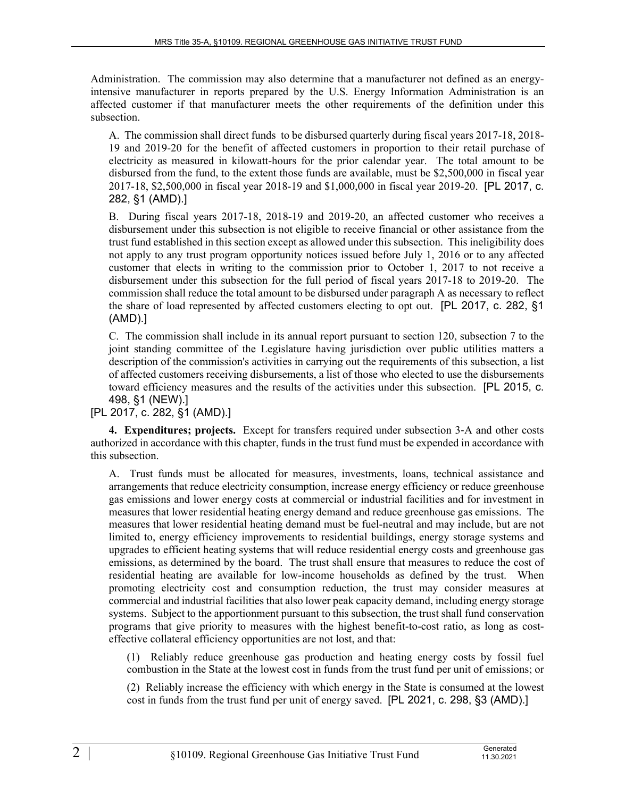Administration. The commission may also determine that a manufacturer not defined as an energyintensive manufacturer in reports prepared by the U.S. Energy Information Administration is an affected customer if that manufacturer meets the other requirements of the definition under this subsection.

A. The commission shall direct funds to be disbursed quarterly during fiscal years 2017-18, 2018- 19 and 2019-20 for the benefit of affected customers in proportion to their retail purchase of electricity as measured in kilowatt-hours for the prior calendar year. The total amount to be disbursed from the fund, to the extent those funds are available, must be \$2,500,000 in fiscal year 2017-18, \$2,500,000 in fiscal year 2018-19 and \$1,000,000 in fiscal year 2019-20. [PL 2017, c. 282, §1 (AMD).]

B. During fiscal years 2017-18, 2018-19 and 2019-20, an affected customer who receives a disbursement under this subsection is not eligible to receive financial or other assistance from the trust fund established in this section except as allowed under this subsection. This ineligibility does not apply to any trust program opportunity notices issued before July 1, 2016 or to any affected customer that elects in writing to the commission prior to October 1, 2017 to not receive a disbursement under this subsection for the full period of fiscal years 2017-18 to 2019-20. The commission shall reduce the total amount to be disbursed under paragraph A as necessary to reflect the share of load represented by affected customers electing to opt out. [PL 2017, c. 282, §1 (AMD).]

C. The commission shall include in its annual report pursuant to section 120, subsection 7 to the joint standing committee of the Legislature having jurisdiction over public utilities matters a description of the commission's activities in carrying out the requirements of this subsection, a list of affected customers receiving disbursements, a list of those who elected to use the disbursements toward efficiency measures and the results of the activities under this subsection. [PL 2015, c. 498, §1 (NEW).]

## [PL 2017, c. 282, §1 (AMD).]

**4. Expenditures; projects.** Except for transfers required under subsection 3‑A and other costs authorized in accordance with this chapter, funds in the trust fund must be expended in accordance with this subsection.

A. Trust funds must be allocated for measures, investments, loans, technical assistance and arrangements that reduce electricity consumption, increase energy efficiency or reduce greenhouse gas emissions and lower energy costs at commercial or industrial facilities and for investment in measures that lower residential heating energy demand and reduce greenhouse gas emissions. The measures that lower residential heating demand must be fuel-neutral and may include, but are not limited to, energy efficiency improvements to residential buildings, energy storage systems and upgrades to efficient heating systems that will reduce residential energy costs and greenhouse gas emissions, as determined by the board. The trust shall ensure that measures to reduce the cost of residential heating are available for low-income households as defined by the trust. When promoting electricity cost and consumption reduction, the trust may consider measures at commercial and industrial facilities that also lower peak capacity demand, including energy storage systems. Subject to the apportionment pursuant to this subsection, the trust shall fund conservation programs that give priority to measures with the highest benefit-to-cost ratio, as long as costeffective collateral efficiency opportunities are not lost, and that:

(1) Reliably reduce greenhouse gas production and heating energy costs by fossil fuel combustion in the State at the lowest cost in funds from the trust fund per unit of emissions; or

(2) Reliably increase the efficiency with which energy in the State is consumed at the lowest cost in funds from the trust fund per unit of energy saved. [PL 2021, c. 298, §3 (AMD).]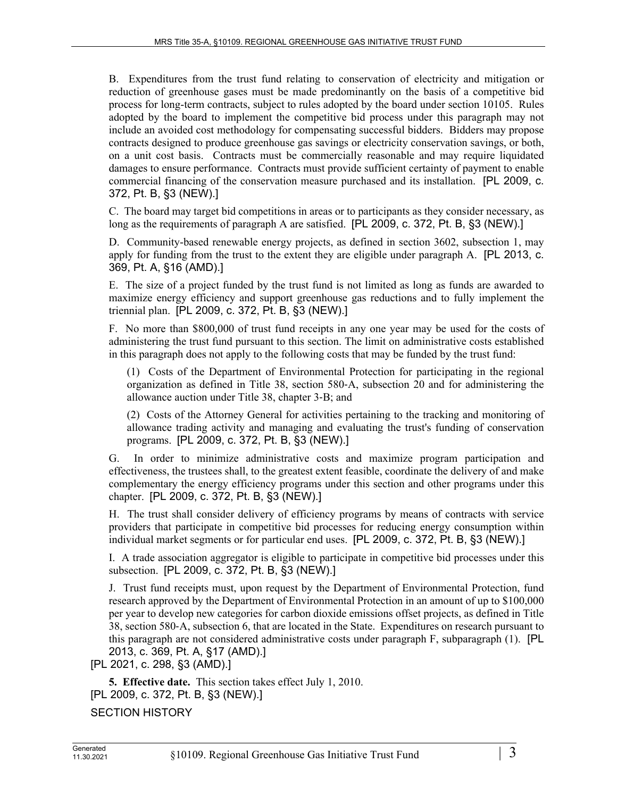B. Expenditures from the trust fund relating to conservation of electricity and mitigation or reduction of greenhouse gases must be made predominantly on the basis of a competitive bid process for long-term contracts, subject to rules adopted by the board under section 10105. Rules adopted by the board to implement the competitive bid process under this paragraph may not include an avoided cost methodology for compensating successful bidders. Bidders may propose contracts designed to produce greenhouse gas savings or electricity conservation savings, or both, on a unit cost basis. Contracts must be commercially reasonable and may require liquidated damages to ensure performance. Contracts must provide sufficient certainty of payment to enable commercial financing of the conservation measure purchased and its installation. [PL 2009, c. 372, Pt. B, §3 (NEW).]

C. The board may target bid competitions in areas or to participants as they consider necessary, as long as the requirements of paragraph A are satisfied. [PL 2009, c. 372, Pt. B, §3 (NEW).]

D. Community-based renewable energy projects, as defined in section 3602, subsection 1, may apply for funding from the trust to the extent they are eligible under paragraph A. [PL 2013, c. 369, Pt. A, §16 (AMD).]

E. The size of a project funded by the trust fund is not limited as long as funds are awarded to maximize energy efficiency and support greenhouse gas reductions and to fully implement the triennial plan. [PL 2009, c. 372, Pt. B, §3 (NEW).]

F. No more than \$800,000 of trust fund receipts in any one year may be used for the costs of administering the trust fund pursuant to this section. The limit on administrative costs established in this paragraph does not apply to the following costs that may be funded by the trust fund:

(1) Costs of the Department of Environmental Protection for participating in the regional organization as defined in Title 38, section 580‑A, subsection 20 and for administering the allowance auction under Title 38, chapter 3‑B; and

(2) Costs of the Attorney General for activities pertaining to the tracking and monitoring of allowance trading activity and managing and evaluating the trust's funding of conservation programs. [PL 2009, c. 372, Pt. B, §3 (NEW).]

G. In order to minimize administrative costs and maximize program participation and effectiveness, the trustees shall, to the greatest extent feasible, coordinate the delivery of and make complementary the energy efficiency programs under this section and other programs under this chapter. [PL 2009, c. 372, Pt. B, §3 (NEW).]

H. The trust shall consider delivery of efficiency programs by means of contracts with service providers that participate in competitive bid processes for reducing energy consumption within individual market segments or for particular end uses. [PL 2009, c. 372, Pt. B, §3 (NEW).]

I. A trade association aggregator is eligible to participate in competitive bid processes under this subsection. [PL 2009, c. 372, Pt. B, §3 (NEW).]

J. Trust fund receipts must, upon request by the Department of Environmental Protection, fund research approved by the Department of Environmental Protection in an amount of up to \$100,000 per year to develop new categories for carbon dioxide emissions offset projects, as defined in Title 38, section 580‑A, subsection 6, that are located in the State. Expenditures on research pursuant to this paragraph are not considered administrative costs under paragraph F, subparagraph (1). [PL 2013, c. 369, Pt. A, §17 (AMD).]

[PL 2021, c. 298, §3 (AMD).]

**5. Effective date.** This section takes effect July 1, 2010. [PL 2009, c. 372, Pt. B, §3 (NEW).] SECTION HISTORY